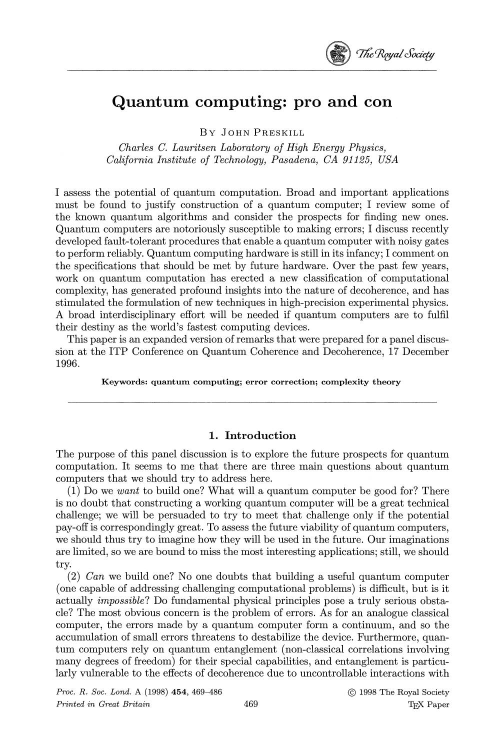

# **Quantum computing: pro and con**

**BY JOHN PRESKILL** 

**Charles C. Lauritsen Laboratory of High Energy Physics, California Institute of Technology, Pasadena, CA 91125, USA** 

**I assess the potential of quantum computation. Broad and important applications must be found to justify construction of a quantum computer; I review some of the known quantum algorithms and consider the prospects for finding new ones. Quantum computers are notoriously susceptible to making errors; I discuss recently developed fault-tolerant procedures that enable a quantum computer with noisy gates to perform reliably. Quantum computing hardware is still in its infancy; I comment on the specifications that should be met by future hardware. Over the past few years, work on quantum computation has erected a new classification of computational complexity, has generated profound insights into the nature of decoherence, and has stimulated the formulation of new techniques in high-precision experimental physics. A broad interdisciplinary effort will be needed if quantum computers are to fulfil their destiny as the world's fastest computing devices.** 

**This paper is an expanded version of remarks that were prepared for a panel discussion at the ITP Conference on Quantum Coherence and Decoherence, 17 December 1996.** 

**Keywords: quantum computing; error correction; complexity theory** 

## **1. Introduction**

**The purpose of this panel discussion is to explore the future prospects for quantum computation. It seems to me that there are three main questions about quantum computers that we should try to address here.** 

**(1) Do we want to build one? What will a quantum computer be good for? There is no doubt that constructing a working quantum computer will be a great technical challenge; we will be persuaded to try to meet that challenge only if the potential pay-off is correspondingly great. To assess the future viability of quantum computers, we should thus try to imagine how they will be used in the future. Our imaginations are limited, so we are bound to miss the most interesting applications; still, we should try.** 

**(2) Can we build one? No one doubts that building a useful quantum computer (one capable of addressing challenging computational problems) is difficult, but is it actually impossible? Do fundamental physical principles pose a truly serious obstacle? The most obvious concern is the problem of errors. As for an analogue classical computer, the errors made by a quantum computer form a continuum, and so the accumulation of small errors threatens to destabilize the device. Furthermore, quantum computers rely on quantum entanglement (non-classical correlations involving many degrees of freedom) for their special capabilities, and entanglement is particularly vulnerable to the effects of decoherence due to uncontrollable interactions with**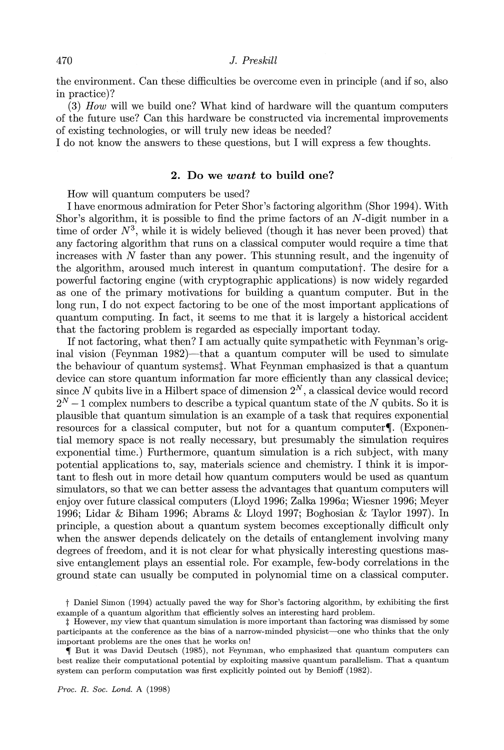**the environment. Can these difficulties be overcome even in principle (and if so, also in practice)?** 

**(3) How will we build one? What kind of hardware will the quantum computers of the future use? Can this hardware be constructed via incremental improvements of existing technologies, or will truly new ideas be needed?** 

**I do not know the answers to these questions, but I will express a few thoughts.** 

## **2. Do we want to build one?**

**How will quantum computers be used?** 

**I have enormous admiration for Peter Shor's factoring algorithm (Shor 1994). With Shor's algorithm, it is possible to find the prime factors of an N-digit number in a**  time of order  $N<sup>3</sup>$ , while it is widely believed (though it has never been proved) that **any factoring algorithm that runs on a classical computer would require a time that increases with N faster than any power. This stunning result, and the ingenuity of the algorithm, aroused much interest in quantum computationt. The desire for a powerful factoring engine (with cryptographic applications) is now widely regarded as one of the primary motivations for building a quantum computer. But in the long run, I do not expect factoring to be one of the most important applications of quantum computing. In fact, it seems to me that it is largely a historical accident that the factoring problem is regarded as especially important today.** 

**If not factoring, what then? I am actually quite sympathetic with Feynman's orig**inal vision (Feynman 1982)—that a quantum computer will be used to simulate **the behaviour of quantum systemst. What Feynman emphasized is that a quantum device can store quantum information far more efficiently than any classical device;**  since N qubits live in a Hilbert space of dimension  $2^N$ , a classical device would record  $2^N-1$  complex numbers to describe a typical quantum state of the N qubits. So it is **plausible that quantum simulation is an example of a task that requires exponential resources for a classical computer, but not for a quantum computer?. (Exponential memory space is not really necessary, but presumably the simulation requires exponential time.) Furthermore, quantum simulation is a rich subject, with many potential applications to, say, materials science and chemistry. I think it is important to flesh out in more detail how quantum computers would be used as quantum simulators, so that we can better assess the advantages that quantum computers will enjoy over future classical computers (Lloyd 1996; Zalka 1996a; Wiesner 1996; Meyer 1996; Lidar & Biham 1996; Abrams & Lloyd 1997; Boghosian & Taylor 1997). In principle, a question about a quantum system becomes exceptionally difficult only when the answer depends delicately on the details of entanglement involving many degrees of freedom, and it is not clear for what physically interesting questions massive entanglement plays an essential role. For example, few-body correlations in the ground state can usually be computed in polynomial time on a classical computer.** 

**t Daniel Simon (1994) actually paved the way for Shor's factoring algorithm, by exhibiting the first example of a quantum algorithm that efficiently solves an interesting hard problem.** 

**t However, my view that quantum simulation is more important than factoring was dismissed by some participants at the conference as the bias of a narrow-minded physicist-one who thinks that the only important problems are the ones that he works on!** 

**I? But it was David Deutsch (1985), not Feynman, who emphasized that quantum computers can best realize their computational potential by exploiting massive quantum parallelism. That a quantum system can perform computation was first explicitly pointed out by Benioff (1982).**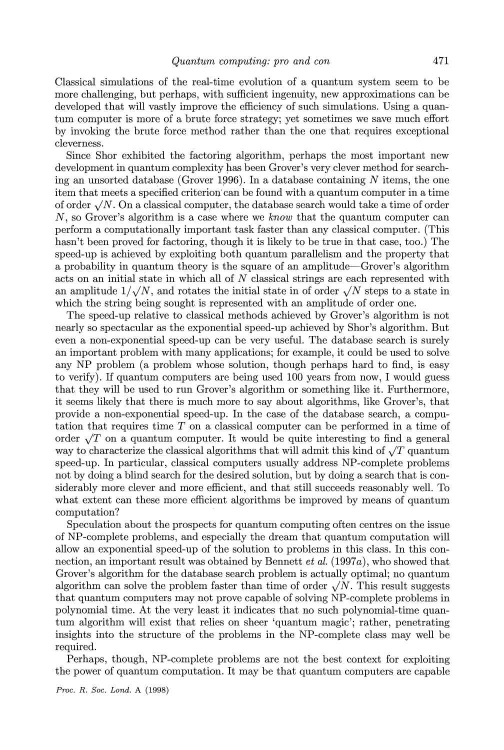**Classical simulations of the real-time evolution of a quantum system seem to be more challenging, but perhaps, with sufficient ingenuity, new approximations can be developed that will vastly improve the efficiency of such simulations. Using a quantum computer is more of a brute force strategy; yet sometimes we save much effort by invoking the brute force method rather than the one that requires exceptional cleverness.** 

**Since Shor exhibited the factoring algorithm, perhaps the most important new development in quantum complexity has been Grover's very clever method for searching an unsorted database (Grover 1996). In a database containing N items, the one item that meets a specified criterion' can be found with a quantum computer in a time**  of order  $\sqrt{N}$ . On a classical computer, the database search would take a time of order **N, so Grover's algorithm is a case where we know that the quantum computer can perform a computationally important task faster than any classical computer. (This hasn't been proved for factoring, though it is likely to be true in that case, too.) The speed-up is achieved by exploiting both quantum parallelism and the property that a probability in quantum theory is the square of an amplitude-Grover's algorithm acts on an initial state in which all of N classical strings are each represented with**  an amplitude  $1/\sqrt{N}$ , and rotates the initial state in of order  $\sqrt{N}$  steps to a state in **which the string being sought is represented with an amplitude of order one.** 

**The speed-up relative to classical methods achieved by Grover's algorithm is not nearly so spectacular as the exponential speed-up achieved by Shor's algorithm. But even a non-exponential speed-up can be very useful. The database search is surely an important problem with many applications; for example, it could be used to solve any NP problem (a problem whose solution, though perhaps hard to find, is easy to verify). If quantum computers are being used 100 years from now, I would guess that they will be used to run Grover's algorithm or something like it. Furthermore, it seems likely that there is much more to say about algorithms, like Grover's, that provide a non-exponential speed-up. In the case of the database search, a computation that requires time T on a classical computer can be performed in a time of**  order  $\sqrt{T}$  on a quantum computer. It would be quite interesting to find a general way to characterize the classical algorithms that will admit this kind of  $\sqrt{T}$  quantum **speed-up. In particular, classical computers usually address NP-complete problems not by doing a blind search for the desired solution, but by doing a search that is considerably more clever and more efficient, and that still succeeds reasonably well. To what extent can these more efficient algorithms be improved by means of quantum computation?** 

**Speculation about the prospects for quantum computing often centres on the issue of NP-complete problems, and especially the dream that quantum computation will allow an exponential speed-up of the solution to problems in this class. In this connection, an important result was obtained by Bennett et al. (1997a), who showed that Grover's algorithm for the database search problem is actually optimal; no quantum**  algorithm can solve the problem faster than time of order  $\sqrt{N}$ . This result suggests **that quantum computers may not prove capable of solving NP-complete problems in polynomial time. At the very least it indicates that no such polynomial-time quantum algorithm will exist that relies on sheer 'quantum magic'; rather, penetrating insights into the structure of the problems in the NP-complete class may well be required.** 

**Perhaps, though, NP-complete problems are not the best context for exploiting the power of quantum computation. It may be that quantum computers are capable**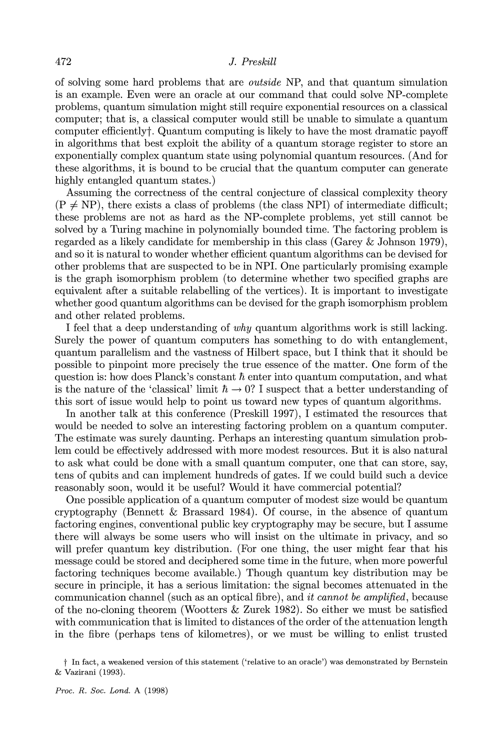**of solving some hard problems that are outside NP, and that quantum simulation is an example. Even were an oracle at our command that could solve NP-complete problems, quantum simulation might still require exponential resources on a classical computer; that is, a classical computer would still be unable to simulate a quantum computer efficientlyt. Quantum computing is likely to have the most dramatic payoff in algorithms that best exploit the ability of a quantum storage register to store an exponentially complex quantum state using polynomial quantum resources. (And for these algorithms, it is bound to be crucial that the quantum computer can generate highly entangled quantum states.)** 

**Assuming the correctness of the central conjecture of classical complexity theory**   $(P \neq NP)$ , there exists a class of problems (the class NPI) of intermediate difficult; **these problems are not as hard as the NP-complete problems, yet still cannot be solved by a Turing machine in polynomially bounded time. The factoring problem is regarded as a likely candidate for membership in this class (Garey & Johnson 1979), and so it is natural to wonder whether efficient quantum algorithms can be devised for other problems that are suspected to be in NPI. One particularly promising example is the graph isomorphism problem (to determine whether two specified graphs are equivalent after a suitable relabelling of the vertices). It is important to investigate whether good quantum algorithms can be devised for the graph isomorphism problem and other related problems.** 

**I feel that a deep understanding of why quantum algorithms work is still lacking. Surely the power of quantum computers has something to do with entanglement, quantum parallelism and the vastness of Hilbert space, but I think that it should be possible to pinpoint more precisely the true essence of the matter. One form of the**  question is: how does Planck's constant  $\hbar$  enter into quantum computation, and what is the nature of the 'classical' limit  $\hbar \rightarrow 0$ ? I suspect that a better understanding of **this sort of issue would help to point us toward new types of quantum algorithms.** 

**In another talk at this conference (Preskill 1997), I estimated the resources that would be needed to solve an interesting factoring problem on a quantum computer. The estimate was surely daunting. Perhaps an interesting quantum simulation problem could be effectively addressed with more modest resources. But it is also natural to ask what could be done with a small quantum computer, one that can store, say, tens of qubits and can implement hundreds of gates. If we could build such a device reasonably soon, would it be useful? Would it have commercial potential?** 

**One possible application of a quantum computer of modest size would be quantum cryptography (Bennett & Brassard 1984). Of course, in the absence of quantum factoring engines, conventional public key cryptography may be secure, but I assume there will always be some users who will insist on the ultimate in privacy, and so will prefer quantum key distribution. (For one thing, the user might fear that his message could be stored and deciphered some time in the future, when more powerful factoring techniques become available.) Though quantum key distribution may be secure in principle, it has a serious limitation: the signal becomes attenuated in the communication channel (such as an optical fibre), and it cannot be amplified, because of the no-cloning theorem (Wootters & Zurek 1982). So either we must be satisfied with communication that is limited to distances of the order of the attenuation length in the fibre (perhaps tens of kilometres), or we must be willing to enlist trusted** 

**t In fact, a weakened version of this statement ('relative to an oracle') was demonstrated by Bernstein & Vazirani (1993).**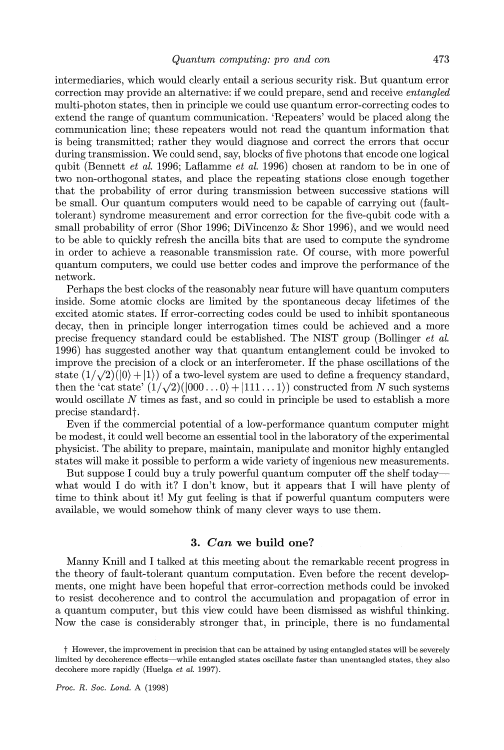**intermediaries, which would clearly entail a serious security risk. But quantum error correction may provide an alternative: if we could prepare, send and receive entangled multi-photon states, then in principle we could use quantum error-correcting codes to extend the range of quantum communication. 'Repeaters' would be placed along the communication line; these repeaters would not read the quantum information that is being transmitted; rather they would diagnose and correct the errors that occur during transmission. We could send, say, blocks of five photons that encode one logical qubit (Bennett et al. 1996; Laflamme et al. 1996) chosen at random to be in one of two non-orthogonal states, and place the repeating stations close enough together that the probability of error during transmission between successive stations will be small. Our quantum computers would need to be capable of carrying out (faulttolerant) syndrome measurement and error correction for the five-qubit code with a small probability of error (Shor 1996; DiVincenzo & Shor 1996), and we would need to be able to quickly refresh the ancilla bits that are used to compute the syndrome in order to achieve a reasonable transmission rate. Of course, with more powerful quantum computers, we could use better codes and improve the performance of the network.** 

**Perhaps the best clocks of the reasonably near future will have quantum computers inside. Some atomic clocks are limited by the spontaneous decay lifetimes of the excited atomic states. If error-correcting codes could be used to inhibit spontaneous decay, then in principle longer interrogation times could be achieved and a more precise frequency standard could be established. The NIST group (Bollinger et al. 1996) has suggested another way that quantum entanglement could be invoked to improve the precision of a clock or an interferometer. If the phase oscillations of the**  state  $(1/\sqrt{2})(0) + (1)$  of a two-level system are used to define a frequency standard, then the 'cat state'  $(1/\sqrt{2})(1000...0) + 111...1)$  constructed from N such systems **would oscillate N times as fast, and so could in principle be used to establish a more precise standardt.** 

**Even if the commercial potential of a low-performance quantum computer might be modest, it could well become an essential tool in the laboratory of the experimental physicist. The ability to prepare, maintain, manipulate and monitor highly entangled states will make it possible to perform a wide variety of ingenious new measurements.** 

**But suppose I could buy a truly powerful quantum computer off the shelf todaywhat would I do with it? I don't know, but it appears that I will have plenty of time to think about it! My gut feeling is that if powerful quantum computers were available, we would somehow think of many clever ways to use them.** 

### **3. Can we build one?**

**Manny Knill and I talked at this meeting about the remarkable recent progress in the theory of fault-tolerant quantum computation. Even before the recent developments, one might have been hopeful that error-correction methods could be invoked to resist decoherence and to control the accumulation and propagation of error in a quantum computer, but this view could have been dismissed as wishful thinking. Now the case is considerably stronger that, in principle, there is no fundamental** 

**t However, the improvement in precision that can be attained by using entangled states will be severely limited by decoherence effects-while entangled states oscillate faster than unentangled states, they also decohere more rapidly (Huelga et al. 1997).**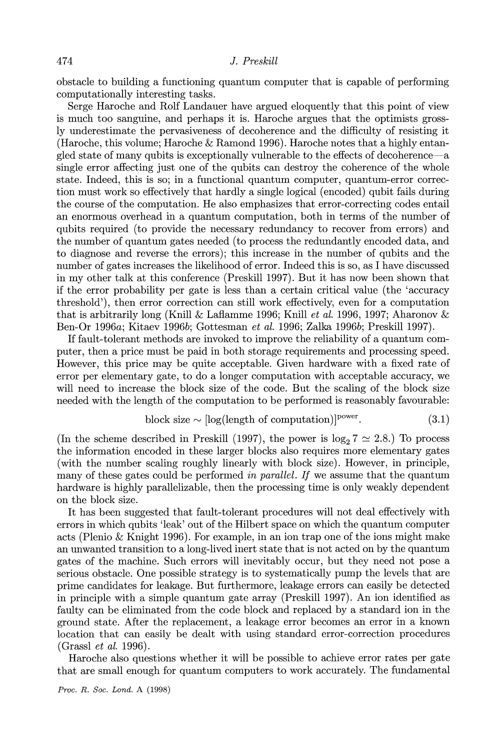**obstacle to building a functioning quantum computer that is capable of performing computationally interesting tasks.** 

**Serge Haroche and Rolf Landauer have argued eloquently that this point of view is much too sanguine, and perhaps it is. Haroche argues that the optimists grossly underestimate the pervasiveness of decoherence and the difficulty of resisting it (Haroche, this volume; Haroche & Ramond 1996). Haroche notes that a highly entangled state of many qubits is exceptionally vulnerable to the effects of decoherence-a single error affecting just one of the qubits can destroy the coherence of the whole state. Indeed, this is so; in a functional quantum computer, quantum-error correction must work so effectively that hardly a single logical (encoded) qubit fails during the course of the computation. He also emphasizes that error-correcting codes entail an enormous overhead in a quantum computation, both in terms of the number of qubits required (to provide the necessary redundancy to recover from errors) and the number of quantum gates needed (to process the redundantly encoded data, and to diagnose and reverse the errors); this increase in the number of qubits and the number of gates increases the likelihood of error. Indeed this is so, as I have discussed in my other talk at this conference (Preskill 1997). But it has now been shown that if the error probability per gate is less than a certain critical value (the 'accuracy threshold'), then error correction can still work effectively, even for a computation that is arbitrarily long (Knill & Laflamme 1996; Knill et al. 1996, 1997; Aharonov & Ben-Or 1996a; Kitaev 1996b; Gottesman et al. 1996; Zalka 1996b; Preskill 1997).** 

**If fault-tolerant methods are invoked to improve the reliability of a quantum computer, then a price must be paid in both storage requirements and processing speed. However, this price may be quite acceptable. Given hardware with a fixed rate of error per elementary gate, to do a longer computation with acceptable accuracy, we will need to increase the block size of the code. But the scaling of the block size needed with the length of the computation to be performed is reasonably favourable:** 

**block size - [log(length of computation)]P?wer. (3.1)** 

(In the scheme described in Preskill (1997), the power is  $\log_2 7 \approx 2.8$ .) To process **the information encoded in these larger blocks also requires more elementary gates (with the number scaling roughly linearly with block size). However, in principle, many of these gates could be performed in parallel. If we assume that the quantum hardware is highly parallelizable, then the processing time is only weakly dependent on the block size.** 

**It has been suggested that fault-tolerant procedures will not deal effectively with errors in which qubits 'leak' out of the Hilbert space on which the quantum computer acts (Plenio & Knight 1996). For example, in an ion trap one of the ions might make an unwanted transition to a long-lived inert state that is not acted on by the quantum gates of the machine. Such errors will inevitably occur, but they need not pose a serious obstacle. One possible strategy is to systematically pump the levels that are prime candidates for leakage. But furthermore, leakage errors can easily be detected in principle with a simple quantum gate array (Preskill 1997). An ion identified as faulty can be eliminated from the code block and replaced by a standard ion in the ground state. After the replacement, a leakage error becomes an error in a known location that can easily be dealt with using standard error-correction procedures (Grassl et al. 1996).** 

**Haroche also questions whether it will be possible to achieve error rates per gate that are small enough for quantum computers to work accurately. The fundamental**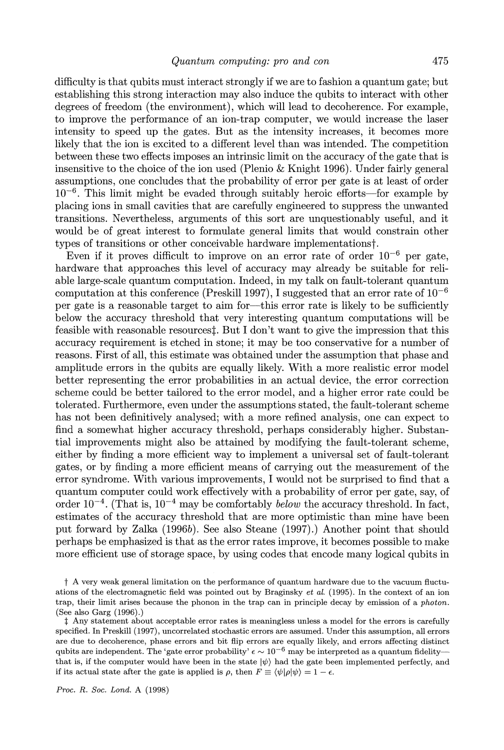**difficulty is that qubits must interact strongly if we are to fashion a quantum gate; but establishing this strong interaction may also induce the qubits to interact with other degrees of freedom (the environment), which will lead to decoherence. For example, to improve the performance of an ion-trap computer, we would increase the laser intensity to speed up the gates. But as the intensity increases, it becomes more likely that the ion is excited to a different level than was intended. The competition between these two effects imposes an intrinsic limit on the accuracy of the gate that is insensitive to the choice of the ion used (Plenio & Knight 1996). Under fairly general assumptions, one concludes that the probability of error per gate is at least of order**   $10^{-6}$ . This limit might be evaded through suitably heroic efforts—for example by **placing ions in small cavities that are carefully engineered to suppress the unwanted transitions. Nevertheless, arguments of this sort are unquestionably useful, and it would be of great interest to formulate general limits that would constrain other types of transitions or other conceivable hardware implementationst.** 

Even if it proves difficult to improve on an error rate of order  $10^{-6}$  per gate, **hardware that approaches this level of accuracy may already be suitable for reliable large-scale quantum computation. Indeed, in my talk on fault-tolerant quantum**  computation at this conference (Preskill 1997), I suggested that an error rate of  $10^{-6}$ **per gate is a reasonable target to aim for-this error rate is likely to be sufficiently below the accuracy threshold that very interesting quantum computations will be feasible with reasonable resources:. But I don't want to give the impression that this accuracy requirement is etched in stone; it may be too conservative for a number of reasons. First of all, this estimate was obtained under the assumption that phase and amplitude errors in the qubits are equally likely. With a more realistic error model better representing the error probabilities in an actual device, the error correction scheme could be better tailored to the error model, and a higher error rate could be tolerated. Furthermore, even under the assumptions stated, the fault-tolerant scheme has not been definitively analysed; with a more refined analysis, one can expect to find a somewhat higher accuracy threshold, perhaps considerably higher. Substantial improvements might also be attained by modifying the fault-tolerant scheme, either by finding a more efficient way to implement a universal set of fault-tolerant gates, or by finding a more efficient means of carrying out the measurement of the error syndrome. With various improvements, I would not be surprised to find that a quantum computer could work effectively with a probability of error per gate, say, of**  order  $10^{-4}$ . (That is,  $10^{-4}$  may be comfortably *below* the accuracy threshold. In fact, **estimates of the accuracy threshold that are more optimistic than mine have been put forward by Zalka (1996b). See also Steane (1997).) Another point that should perhaps be emphasized is that as the error rates improve, it becomes possible to make more efficient use of storage space, by using codes that encode many logical qubits in** 

**t A very weak general limitation on the performance of quantum hardware due to the vacuum fluctuations of the electromagnetic field was pointed out by Braginsky et al. (1995). In the context of an ion trap, their limit arises because the phonon in the trap can in principle decay by emission of a photon. (See also Garg (1996).)** 

**t Any statement about acceptable error rates is meaningless unless a model for the errors is carefully specified. In Preskill (1997), uncorrelated stochastic errors are assumed. Under this assumption, all errors are due to decoherence, phase errors and bit flip errors are equally likely, and errors affecting distinct**  qubits are independent. The 'gate error probability'  $\epsilon \sim 10^{-6}$  may be interpreted as a quantum fidelitythat is, if the computer would have been in the state  $|\psi\rangle$  had the gate been implemented perfectly, and **if its actual state after the gate is applied is**  $\rho$ **, then**  $F \equiv \langle \psi | \rho | \psi \rangle = 1 - \epsilon$ **.**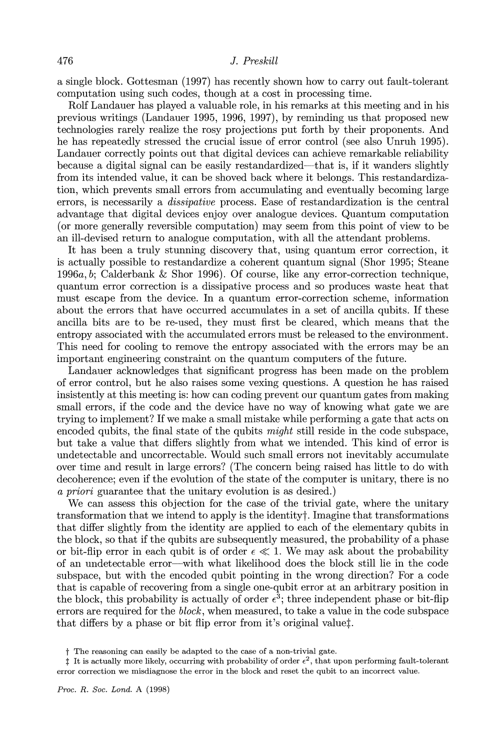**a single block. Gottesman (1997) has recently shown how to carry out fault-tolerant computation using such codes, though at a cost in processing time.** 

**Rolf Landauer has played a valuable role, in his remarks at this meeting and in his previous writings (Landauer 1995, 1996, 1997), by reminding us that proposed new technologies rarely realize the rosy projections put forth by their proponents. And he has repeatedly stressed the crucial issue of error control (see also Unruh 1995). Landauer correctly points out that digital devices can achieve remarkable reliability because a digital signal can be easily restandardized-that is, if it wanders slightly from its intended value, it can be shoved back where it belongs. This restandardization, which prevents small errors from accumulating and eventually becoming large errors, is necessarily a dissipative process. Ease of restandardization is the central advantage that digital devices enjoy over analogue devices. Quantum computation (or more generally reversible computation) may seem from this point of view to be an ill-devised return to analogue computation, with all the attendant problems.** 

**It has been a truly stunning discovery that, using quantum error correction, it is actually possible to restandardize a coherent quantum signal (Shor 1995; Steane 1996a, b; Calderbank & Shor 1996). Of course, like any error-correction technique, quantum error correction is a dissipative process and so produces waste heat that must escape from the device. In a quantum error-correction scheme, information about the errors that have occurred accumulates in a set of ancilla qubits. If these ancilla bits are to be re-used, they must first be cleared, which means that the entropy associated with the accumulated errors must be released to the environment. This need for cooling to remove the entropy associated with the errors may be an important engineering constraint on the quantum computers of the future.** 

**Landauer acknowledges that significant progress has been made on the problem of error control, but he also raises some vexing questions. A question he has raised insistently at this meeting is: how can coding prevent our quantum gates from making small errors, if the code and the device have no way of knowing what gate we are trying to implement? If we make a small mistake while performing a gate that acts on encoded qubits, the final state of the qubits might still reside in the code subspace, but take a value that differs slightly from what we intended. This kind of error is undetectable and uncorrectable. Would such small errors not inevitably accumulate over time and result in large errors? (The concern being raised has little to do with decoherence; even if the evolution of the state of the computer is unitary, there is no a priori guarantee that the unitary evolution is as desired.)** 

**We can assess this objection for the case of the trivial gate, where the unitary transformation that we intend to apply is the identityt. Imagine that transformations that differ slightly from the identity are applied to each of the elementary qubits in the block, so that if the qubits are subsequently measured, the probability of a phase**  or bit-flip error in each qubit is of order  $\epsilon \ll 1$ . We may ask about the probability **of an undetectable error-with what likelihood does the block still lie in the code subspace, but with the encoded qubit pointing in the wrong direction? For a code that is capable of recovering from a single one-qubit error at an arbitrary position in**  the block, this probability is actually of order  $\epsilon^3$ ; three independent phase or bit-flip **errors are required for the block, when measured, to take a value in the code subspace that differs by a phase or bit flip error from it's original valuet.** 

**t The reasoning can easily be adapted to the case of a non-trivial gate.** 

**<sup>:</sup>** It is actually more likely, occurring with probability of order  $\epsilon^2$ , that upon performing fault-tolerant **error correction we misdiagnose the error in the block and reset the qubit to an incorrect value.**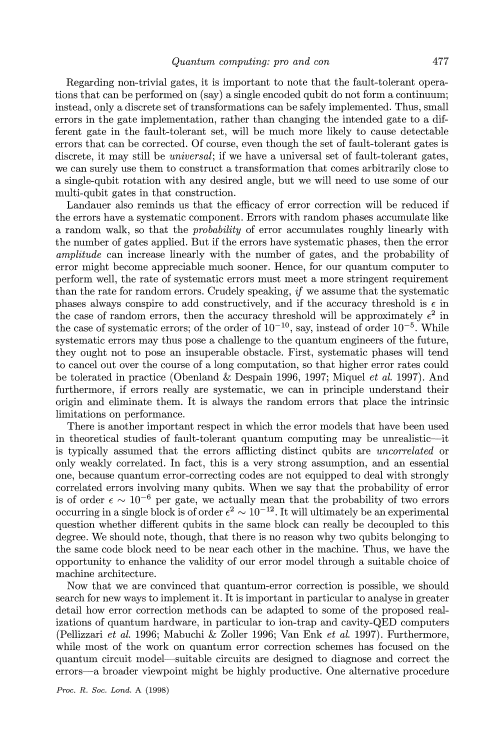**Regarding non-trivial gates, it is important to note that the fault-tolerant operations that can be performed on (say) a single encoded qubit do not form a continuum; instead, only a discrete set of transformations can be safely implemented. Thus, small errors in the gate implementation, rather than changing the intended gate to a different gate in the fault-tolerant set, will be much more likely to cause detectable errors that can be corrected. Of course, even though the set of fault-tolerant gates is discrete, it may still be universal; if we have a universal set of fault-tolerant gates, we can surely use them to construct a transformation that comes arbitrarily close to a single-qubit rotation with any desired angle, but we will need to use some of our multi-qubit gates in that construction.** 

Landauer also reminds us that the efficacy of error correction will be reduced if **the errors have a systematic component. Errors with random phases accumulate like a random walk, so that the probability of error accumulates roughly linearly with the number of gates applied. But if the errors have systematic phases, then the error amplitude can increase linearly with the number of gates, and the probability of error might become appreciable much sooner. Hence, for our quantum computer to perform well, the rate of systematic errors must meet a more stringent requirement than the rate for random errors. Crudely speaking, if we assume that the systematic**  phases always conspire to add constructively, and if the accuracy threshold is  $\epsilon$  in the case of random errors, then the accuracy threshold will be approximately  $\epsilon^2$  in the case of systematic errors; of the order of  $10^{-10}$ , say, instead of order  $10^{-5}$ . While **systematic errors may thus pose a challenge to the quantum engineers of the future, they ought not to pose an insuperable obstacle. First, systematic phases will tend to cancel out over the course of a long computation, so that higher error rates could be tolerated in practice (Obenland & Despain 1996, 1997; Miquel et al. 1997). And furthermore, if errors really are systematic, we can in principle understand their origin and eliminate them. It is always the random errors that place the intrinsic limitations on performance.** 

**There is another important respect in which the error models that have been used in theoretical studies of fault-tolerant quantum computing may be unrealistic-it is typically assumed that the errors afflicting distinct qubits are uncorrelated or only weakly correlated. In fact, this is a very strong assumption, and an essential one, because quantum error-correcting codes are not equipped to deal with strongly correlated errors involving many qubits. When we say that the probability of error**  is of order  $\epsilon \sim 10^{-6}$  per gate, we actually mean that the probability of two errors occurring in a single block is of order  $\epsilon^2 \sim 10^{-12}$ . It will ultimately be an experimental **question whether different qubits in the same block can really be decoupled to this degree. We should note, though, that there is no reason why two qubits belonging to the same code block need to be near each other in the machine. Thus, we have the opportunity to enhance the validity of our error model through a suitable choice of machine architecture.** 

**Now that we are convinced that quantum-error correction is possible, we should search for new ways to implement it. It is important in particular to analyse in greater detail how error correction methods can be adapted to some of the proposed realizations of quantum hardware, in particular to ion-trap and cavity-QED computers (Pellizzari et al. 1996; Mabuchi & Zoller 1996; Van Enk et al. 1997). Furthermore, while most of the work on quantum error correction schemes has focused on the quantum circuit model-suitable circuits are designed to diagnose and correct the errors-a broader viewpoint might be highly productive. One alternative procedure**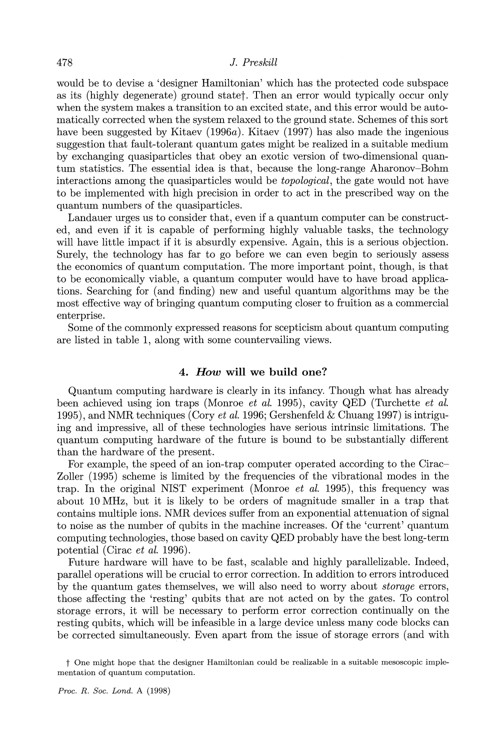**would be to devise a 'designer Hamiltonian' which has the protected code subspace as its (highly degenerate) ground statet. Then an error would typically occur only when the system makes a transition to an excited state, and this error would be automatically corrected when the system relaxed to the ground state. Schemes of this sort have been suggested by Kitaev (1996a). Kitaev (1997) has also made the ingenious suggestion that fault-tolerant quantum gates might be realized in a suitable medium by exchanging quasiparticles that obey an exotic version of two-dimensional quantum statistics. The essential idea is that, because the long-range Aharonov-Bohm interactions among the quasiparticles would be topological, the gate would not have to be implemented with high precision in order to act in the prescribed way on the quantum numbers of the quasiparticles.** 

**Landauer urges us to consider that, even if a quantum computer can be constructed, and even if it is capable of performing highly valuable tasks, the technology**  will have little impact if it is absurdly expensive. Again, this is a serious objection. **Surely, the technology has far to go before we can even begin to seriously assess the economics of quantum computation. The more important point, though, is that to be economically viable, a quantum computer would have to have broad applications. Searching for (and finding) new and useful quantum algorithms may be the most effective way of bringing quantum computing closer to fruition as a commercial enterprise.** 

**Some of the commonly expressed reasons for scepticism about quantum computing are listed in table 1, along with some countervailing views.** 

# **4. How will we build one?**

**Quantum computing hardware is clearly in its infancy. Though what has already been achieved using ion traps (Monroe et al. 1995), cavity QED (Turchette et al. 1995), and NMR techniques (Cory et al. 1996; Gershenfeld & Chuang 1997) is intriguing and impressive, all of these technologies have serious intrinsic limitations. The quantum computing hardware of the future is bound to be substantially different than the hardware of the present.** 

**For example, the speed of an ion-trap computer operated according to the Cirac-Zoller (1995) scheme is limited by the frequencies of the vibrational modes in the trap. In the original NIST experiment (Monroe et al. 1995), this frequency was about 10 MHz, but it is likely to be orders of magnitude smaller in a trap that contains multiple ions. NMR devices suffer from an exponential attenuation of signal to noise as the number of qubits in the machine increases. Of the 'current' quantum computing technologies, those based on cavity QED probably have the best long-term potential (Cirac et al. 1996).** 

**Future hardware will have to be fast, scalable and highly parallelizable. Indeed, parallel operations will be crucial to error correction. In addition to errors introduced by the quantum gates themselves, we will also need to worry about storage errors, those affecting the 'resting' qubits that are not acted on by the gates. To control storage errors, it will be necessary to perform error correction continually on the resting qubits, which will be infeasible in a large device unless many code blocks can be corrected simultaneously. Even apart from the issue of storage errors (and with** 

**t One might hope that the designer Hamiltonian could be realizable in a suitable mesoscopic implementation of quantum computation.**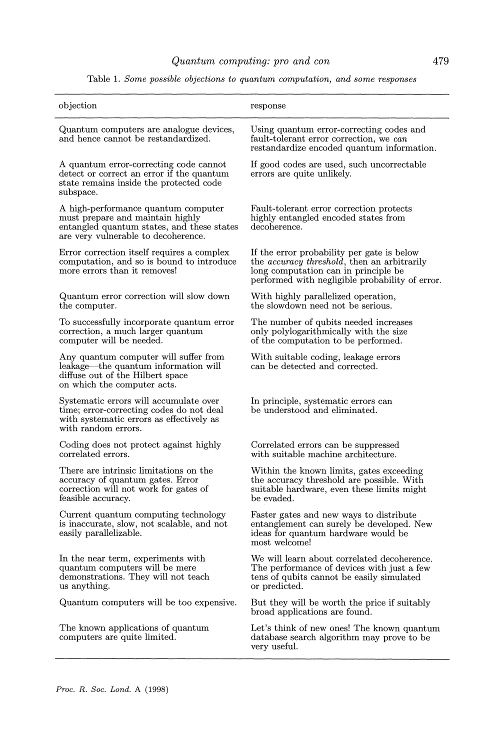| objection                                                                                                                                                    | response                                                                                                                                                                                     |
|--------------------------------------------------------------------------------------------------------------------------------------------------------------|----------------------------------------------------------------------------------------------------------------------------------------------------------------------------------------------|
| Quantum computers are analogue devices,<br>and hence cannot be restandardized.                                                                               | Using quantum error-correcting codes and<br>fault-tolerant error correction, we can<br>restandardize encoded quantum information.                                                            |
| A quantum error-correcting code cannot<br>detect or correct an error if the quantum<br>state remains inside the protected code<br>subspace.                  | If good codes are used, such uncorrectable<br>errors are quite unlikely.                                                                                                                     |
| A high-performance quantum computer<br>must prepare and maintain highly<br>entangled quantum states, and these states<br>are very vulnerable to decoherence. | Fault-tolerant error correction protects<br>highly entangled encoded states from<br>decoherence.                                                                                             |
| Error correction itself requires a complex<br>computation, and so is bound to introduce<br>more errors than it removes!                                      | If the error probability per gate is below<br>the <i>accuracy threshold</i> , then an arbitrarily<br>long computation can in principle be<br>performed with negligible probability of error. |
| Quantum error correction will slow down<br>the computer.                                                                                                     | With highly parallelized operation,<br>the slowdown need not be serious.                                                                                                                     |
| To successfully incorporate quantum error<br>correction, a much larger quantum<br>computer will be needed.                                                   | The number of qubits needed increases<br>only polylogarithmically with the size<br>of the computation to be performed.                                                                       |
| Any quantum computer will suffer from<br>leakage—the quantum information will<br>diffuse out of the Hilbert space<br>on which the computer acts.             | With suitable coding, leakage errors<br>can be detected and corrected.                                                                                                                       |
| Systematic errors will accumulate over<br>time; error-correcting codes do not deal<br>with systematic errors as effectively as<br>with random errors.        | In principle, systematic errors can<br>be understood and eliminated.                                                                                                                         |
| Coding does not protect against highly<br>correlated errors.                                                                                                 | Correlated errors can be suppressed<br>with suitable machine architecture.                                                                                                                   |
| There are intrinsic limitations on the<br>accuracy of quantum gates. Error<br>correction will not work for gates of<br>feasible accuracy.                    | Within the known limits, gates exceeding<br>the accuracy threshold are possible. With<br>suitable hardware, even these limits might<br>be evaded.                                            |
| Current quantum computing technology<br>is inaccurate, slow, not scalable, and not<br>easily parallelizable.                                                 | Faster gates and new ways to distribute<br>entanglement can surely be developed. New<br>ideas for quantum hardware would be<br>most welcome!                                                 |
| In the near term, experiments with<br>quantum computers will be mere<br>demonstrations. They will not teach<br>us anything.                                  | We will learn about correlated decoherence.<br>The performance of devices with just a few<br>tens of qubits cannot be easily simulated<br>or predicted.                                      |
| Quantum computers will be too expensive.                                                                                                                     | But they will be worth the price if suitably<br>broad applications are found.                                                                                                                |
| The known applications of quantum<br>computers are quite limited.                                                                                            | Let's think of new ones! The known quantum<br>database search algorithm may prove to be<br>very useful.                                                                                      |

**Table 1. Some possible objections to quantum computation, and some responses**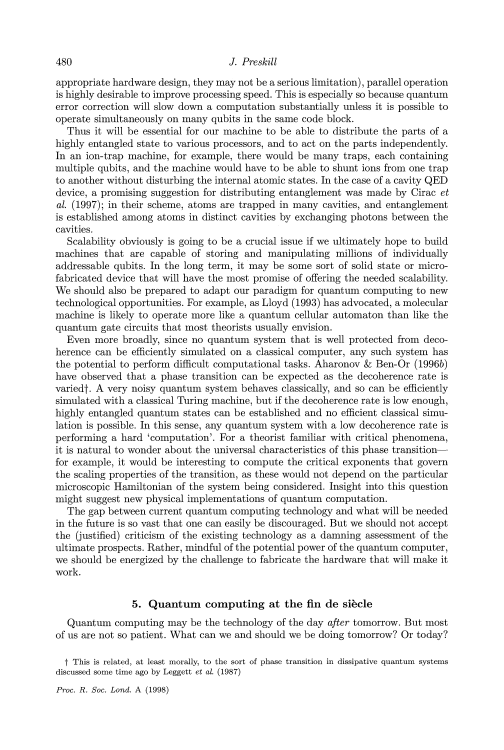### **480 J. Preskill**

**appropriate hardware design, they may not be a serious limitation), parallel operation is highly desirable to improve processing speed. This is especially so because quantum error correction will slow down a computation substantially unless it is possible to operate simultaneously on many qubits in the same code block.** 

**Thus it will be essential for our machine to be able to distribute the parts of a highly entangled state to various processors, and to act on the parts independently. In an ion-trap machine, for example, there would be many traps, each containing multiple qubits, and the machine would have to be able to shunt ions from one trap to another without disturbing the internal atomic states. In the case of a cavity QED device, a promising suggestion for distributing entanglement was made by Cirac et al. (1997); in their scheme, atoms are trapped in many cavities, and entanglement is established among atoms in distinct cavities by exchanging photons between the cavities.** 

**Scalability obviously is going to be a crucial issue if we ultimately hope to build machines that are capable of storing and manipulating millions of individually addressable qubits. In the long term, it may be some sort of solid state or microfabricated device that will have the most promise of offering the needed scalability. We should also be prepared to adapt our paradigm for quantum computing to new technological opportunities. For example, as Lloyd (1993) has advocated, a molecular machine is likely to operate more like a quantum cellular automaton than like the quantum gate circuits that most theorists usually envision.** 

Even more broadly, since no quantum system that is well protected from deco**herence can be efficiently simulated on a classical computer, any such system has the potential to perform difficult computational tasks. Aharonov & Ben-Or (1996b) have observed that a phase transition can be expected as the decoherence rate is variedt. A very noisy quantum system behaves classically, and so can be efficiently simulated with a classical Turing machine, but if the decoherence rate is low enough, highly entangled quantum states can be established and no efficient classical simulation is possible. In this sense, any quantum system with a low decoherence rate is performing a hard 'computation'. For a theorist familiar with critical phenomena, it is natural to wonder about the universal characteristics of this phase transition for example, it would be interesting to compute the critical exponents that govern the scaling properties of the transition, as these would not depend on the particular microscopic Hamiltonian of the system being considered. Insight into this question might suggest new physical implementations of quantum computation.** 

**The gap between current quantum computing technology and what will be needed in the future is so vast that one can easily be discouraged. But we should not accept the (justified) criticism of the existing technology as a damning assessment of the ultimate prospects. Rather, mindful of the potential power of the quantum computer, we should be energized by the challenge to fabricate the hardware that will make it work.** 

#### **5. Quantum computing at the fin de siecle**

**Quantum computing may be the technology of the day after tomorrow. But most of us are not so patient. What can we and should we be doing tomorrow? Or today?** 

**t This is related, at least morally, to the sort of phase transition in dissipative quantum systems discussed some time ago by Leggett et al. (1987)**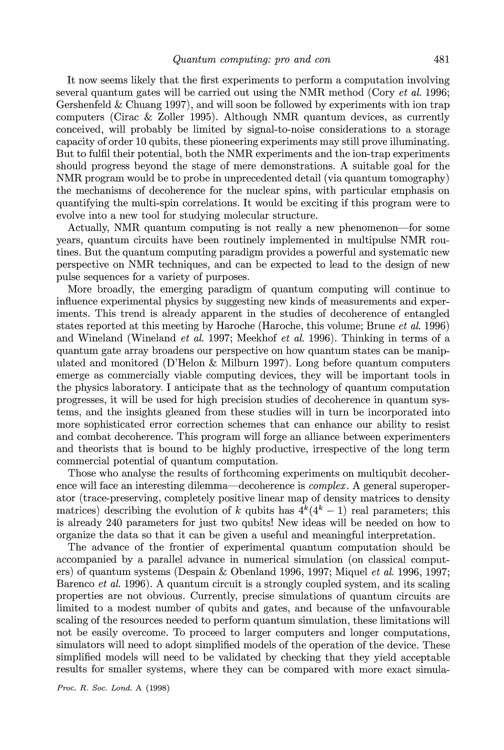**It now seems likely that the first experiments to perform a computation involving several quantum gates will be carried out using the NMR method (Cory et al. 1996; Gershenfeld & Chuang 1997), and will soon be followed by experiments with ion trap computers (Cirac & Zoller 1995). Although NMR quantum devices, as currently conceived, will probably be limited by signal-to-noise considerations to a storage capacity of order 10 qubits, these pioneering experiments may still prove illuminating. But to fulfil their potential, both the NMR experiments and the ion-trap experiments should progress beyond the stage of mere demonstrations. A suitable goal for the NMR program would be to probe in unprecedented detail (via quantum tomography) the mechanisms of decoherence for the nuclear spins, with particular emphasis on quantifying the multi-spin correlations. It would be exciting if this program were to evolve into a new tool for studying molecular structure.** 

**Actually, NMR quantum computing is not really a new phenomenon-for some years, quantum circuits have been routinely implemented in multipulse NMR routines. But the quantum computing paradigm provides a powerful and systematic new perspective on NMR techniques, and can be expected to lead to the design of new pulse sequences for a variety of purposes.** 

**More broadly, the emerging paradigm of quantum computing will continue to influence experimental physics by suggesting new kinds of measurements and experiments. This trend is already apparent in the studies of decoherence of entangled states reported at this meeting by Haroche (Haroche, this volume; Brune et al. 1996) and Wineland (Wineland et al. 1997; Meekhof et al. 1996). Thinking in terms of a quantum gate array broadens our perspective on how quantum states can be manipulated and monitored (D'Helon & Milburn 1997). Long before quantum computers emerge as commercially viable computing devices, they will be important tools in the physics laboratory. I anticipate that as the technology of quantum computation progresses, it will be used for high precision studies of decoherence in quantum systems, and the insights gleaned from these studies will in turn be incorporated into more sophisticated error correction schemes that can enhance our ability to resist and combat decoherence. This program will forge an alliance between experimenters and theorists that is bound to be highly productive, irrespective of the long term commercial potential of quantum computation.** 

**Those who analyse the results of forthcoming experiments on multiqubit decoher**ence will face an interesting dilemma—decoherence is *complex*. A general superoper**ator (trace-preserving, completely positive linear map of density matrices to density**  matrices) describing the evolution of k qubits has  $4^k(4^k - 1)$  real parameters; this **is already 240 parameters for just two qubits! New ideas will be needed on how to organize the data so that it can be given a useful and meaningful interpretation.** 

**The advance of the frontier of experimental quantum computation should be accompanied by a parallel advance in numerical simulation (on classical computers) of quantum systems (Despain & Obenland 1996, 1997; Miquel et al. 1996, 1997; Barenco et al. 1996). A quantum circuit is a strongly coupled system, and its scaling properties are not obvious. Currently, precise simulations of quantum circuits are limited to a modest number of qubits and gates, and because of the unfavourable scaling of the resources needed to perform quantum simulation, these limitations will not be easily overcome. To proceed to larger computers and longer computations, simulators will need to adopt simplified models of the operation of the device. These simplified models will need to be validated by checking that they yield acceptable results for smaller systems, where they can be compared with more exact simula-**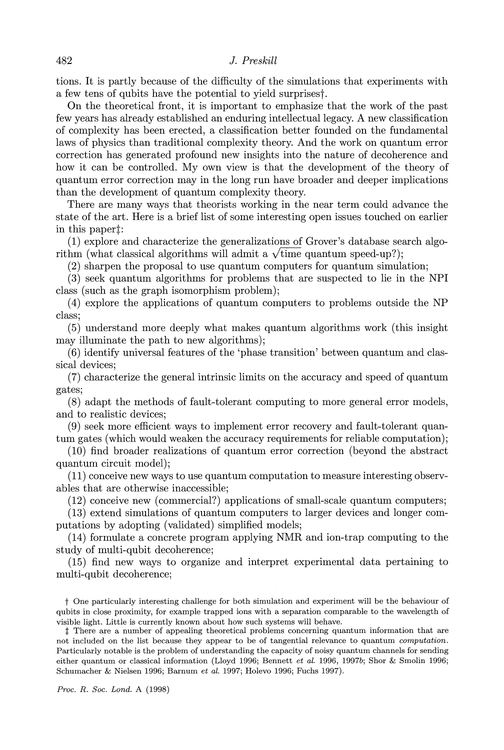**tions. It is partly because of the difficulty of the simulations that experiments with a few tens of qubits have the potential to yield surprisest.** 

**On the theoretical front, it is important to emphasize that the work of the past few years has already established an enduring intellectual legacy. A new classification of complexity has been erected, a classification better founded on the fundamental laws of physics than traditional complexity theory. And the work on quantum error correction has generated profound new insights into the nature of decoherence and how it can be controlled. My own view is that the development of the theory of quantum error correction may in the long run have broader and deeper implications than the development of quantum complexity theory.** 

**There are many ways that theorists working in the near term could advance the state of the art. Here is a brief list of some interesting open issues touched on earlier in this papert:** 

**(1) explore and characterize the generalizations of Grover's database search algo**rithm (what classical algorithms will admit a  $\sqrt{\text{time}}$  quantum speed-up?);

**(2) sharpen the proposal to use quantum computers for quantum simulation;** 

**(3) seek quantum algorithms for problems that are suspected to lie in the NPI class (such as the graph isomorphism problem);** 

**(4) explore the applications of quantum computers to problems outside the NP class;** 

**(5) understand more deeply what makes quantum algorithms work (this insight may illuminate the path to new algorithms);** 

**(6) identify universal features of the 'phase transition' between quantum and classical devices;** 

**(7) characterize the general intrinsic limits on the accuracy and speed of quantum gates;** 

**(8) adapt the methods of fault-tolerant computing to more general error models, and to realistic devices;** 

**(9) seek more efficient ways to implement error recovery and fault-tolerant quantum gates (which would weaken the accuracy requirements for reliable computation);** 

**(10) find broader realizations of quantum error correction (beyond the abstract quantum circuit model);** 

**(11) conceive new ways to use quantum computation to measure interesting observables that are otherwise inaccessible;** 

**(12) conceive new (commercial?) applications of small-scale quantum computers;** 

**(13) extend simulations of quantum computers to larger devices and longer computations by adopting (validated) simplified models;** 

**(14) formulate a concrete program applying NMR and ion-trap computing to the study of multi-qubit decoherence;** 

**(15) find new ways to organize and interpret experimental data pertaining to multi-qubit decoherence;** 

**t One particularly interesting challenge for both simulation and experiment will be the behaviour of qubits in close proximity, for example trapped ions with a separation comparable to the wavelength of visible light. Little is currently known about how such systems will behave.** 

**\$ There are a number of appealing theoretical problems concerning quantum information that are not included on the list because they appear to be of tangential relevance to quantum computation. Particularly notable is the problem of understanding the capacity of noisy quantum channels for sending either quantum or classical information (Lloyd 1996; Bennett et al. 1996, 1997b; Shor & Smolin 1996; Schumacher & Nielsen 1996; Barnum et al. 1997; Holevo 1996; Fuchs 1997).**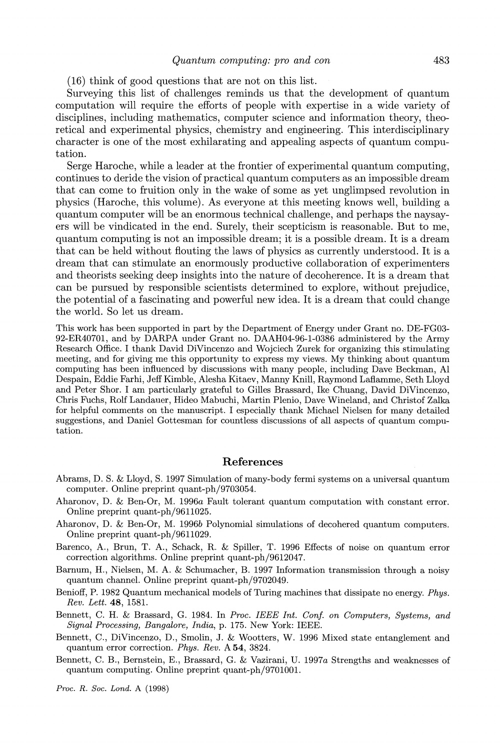**(16) think of good questions that are not on this list.** 

**Surveying this list of challenges reminds us that the development of quantum computation will require the efforts of people with expertise in a wide variety of disciplines, including mathematics, computer science and information theory, theoretical and experimental physics, chemistry and engineering. This interdisciplinary character is one of the most exhilarating and appealing aspects of quantum computation.** 

**Serge Haroche, while a leader at the frontier of experimental quantum computing, continues to deride the vision of practical quantum computers as an impossible dream that can come to fruition only in the wake of some as yet unglimpsed revolution in physics (Haroche, this volume). As everyone at this meeting knows well, building a quantum computer will be an enormous technical challenge, and perhaps the naysayers will be vindicated in the end. Surely, their scepticism is reasonable. But to me, quantum computing is not an impossible dream; it is a possible dream. It is a dream that can be held without flouting the laws of physics as currently understood. It is a dream that can stimulate an enormously productive collaboration of experimenters and theorists seeking deep insights into the nature of decoherence. It is a dream that can be pursued by responsible scientists determined to explore, without prejudice, the potential of a fascinating and powerful new idea. It is a dream that could change the world. So let us dream.** 

**This work has been supported in part by the Department of Energy under Grant no. DE-FG03- 92-ER40701, and by DARPA under Grant no. DAAH04-96-1-0386 administered by the Army Research Office. I thank David DiVincenzo and Wojciech Zurek for organizing this stimulating meeting, and for giving me this opportunity to express my views. My thinking about quantum computing has been influenced by discussions with many people, including Dave Beckman, Al Despain, Eddie Farhi, Jeff Kimble, Alesha Kitaev, Manny Knill, Raymond Laflamme, Seth Lloyd and Peter Shor. I am particularly grateful to Gilles Brassard, Ike Chuang, David DiVincenzo, Chris Fuchs, Rolf Landauer, Hideo Mabuchi, Martin Plenio, Dave Wineland, and Christof Zalka for helpful comments on the manuscript. I especially thank Michael Nielsen for many detailed suggestions, and Daniel Gottesman for countless discussions of all aspects of quantum computation.** 

# **References**

- **Abrams, D. S. & Lloyd, S. 1997 Simulation of many-body fermi systems on a universal quantum computer. Online preprint quant-ph/9703054.**
- **Aharonov, D. & Ben-Or, M. 1996a Fault tolerant quantum computation with constant error. Online preprint quant-ph/9611025.**
- **Aharonov, D. & Ben-Or, M. 1996b Polynomial simulations of decohered quantum computers. Online preprint quant-ph/9611029.**
- **Barenco, A., Brun, T. A., Schack, R. & Spiller, T. 1996 Effects of noise on quantum error correction algorithms. Online preprint quant-ph/9612047.**
- **Barnum, H., Nielsen, M. A. & Schumacher, B. 1997 Information transmission through a noisy quantum channel. Online preprint quant-ph/9702049.**
- **Benioff, P. 1982 Quantum mechanical models of Turing machines that dissipate no energy. Phys. Rev. Lett. 48, 1581.**
- **Bennett, C. H. & Brassard, G. 1984. In Proc. IEEE Int. Conf. on Computers, Systems, and Signal Processing, Bangalore, India, p. 175. New York: IEEE.**
- **Bennett, C., DiVincenzo, D., Smolin, J. & Wootters, W. 1996 Mixed state entanglement and quantum error correction. Phys. Rev. A 54, 3824.**
- **Bennett, C. B., Bernstein, E., Brassard, G. & Vazirani, U. 1997a Strengths and weaknesses of quantum computing. Online preprint quant-ph/9701001.**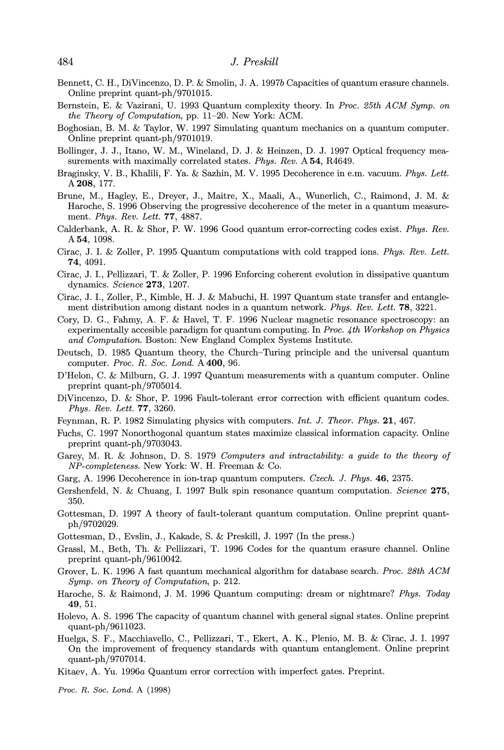- **Bennett, C. H., DiVincenzo, D. P. & Smolin, J. A. 1997b Capacities of quantum erasure channels. Online preprint quant-ph/9701015.**
- **Bernstein, E. & Vazirani, U. 1993 Quantum complexity theory. In Proc. 25th ACM Symp. on the Theory of Computation, pp. 11-20. New York: ACM.**
- **Boghosian, B. M. & Taylor, W. 1997 Simulating quantum mechanics on a quantum computer. Online preprint quant-ph/9701019.**
- **Bollinger, J. J., Itano, W. M., Wineland, D. J. & Heinzen, D. J. 1997 Optical frequency measurements with maximally correlated states. Phys. Rev. A 54, R4649.**
- **Braginsky, V. B., Khalili, F. Ya. & Sazhin, M. V. 1995 Decoherence in e.m. vacuum. Phys. Lett. A208, 177.**
- **Brune, M., Hagley, E., Dreyer, J., Maitre, X., Maali, A., Wunerlich, C., Raimond, J. M. & Haroche, S. 1996 Observing the progressive decoherence of the meter in a quantum measurement. Phys. Rev. Lett. 77, 4887.**
- **Calderbank, A. R. & Shor, P. W. 1996 Good quantum error-correcting codes exist. Phys. Rev. A 54, 1098.**
- **Cirac, J. I. & Zoller, P. 1995 Quantum computations with cold trapped ions. Phys. Rev. Lett. 74, 4091.**
- **Cirac, J. I., Pellizzari, T. & Zoller, P. 1996 Enforcing coherent evolution in dissipative quantum dynamics. Science 273, 1207.**
- **Cirac, J. I., Zoller, P., Kimble, H. J. & Mabuchi, H. 1997 Quantum state transfer and entanglement distribution among distant nodes in a quantum network. Phys. Rev. Lett. 78, 3221.**
- **Cory, D. G., Fahmy, A. F. & Havel, T. F. 1996 Nuclear magnetic resonance spectroscopy: an experimentally accesible paradigm for quantum computing. In Proc. 4th Workshop on Physics and Computation. Boston: New England Complex Systems Institute.**
- **Deutsch, D. 1985 Quantum theory, the Church-Turing principle and the universal quantum computer. Proc. R. Soc. Lond. A 400, 96.**
- **D'Helon, C. & Milburn, G. J. 1997 Quantum measurements with a quantum computer. Online preprint quant-ph/9705014.**
- **DiVincenzo, D. & Shor, P. 1996 Fault-tolerant error correction with efficient quantum codes. Phys. Rev. Lett. 77, 3260.**
- **Feynman, R. P. 1982 Simulating physics with computers. Int. J. Theor. Phys. 21, 467.**
- **Fuchs, C. 1997 Nonorthogonal quantum states maximize classical information capacity. Online preprint quant-ph/9703043.**
- **Garey, M. R. & Johnson, D. S. 1979 Computers and intractability: a guide to the theory of NP-completeness. New York: W. H. Freeman & Co.**
- Garg, A. 1996 Decoherence in ion-trap quantum computers. *Czech. J. Phys.* **46**, 2375.
- **Gershenfeld, N. & Chuang, I. 1997 Bulk spin resonance quantum computation. Science 275, 350.**
- Gottesman, D. 1997 A theory of fault-tolerant quantum computation. Online preprint quant**ph/9702029.**
- **Gottesman, D., Evslin, J., Kakade, S. & Preskill, J. 1997 (In the press.)**
- **Grassl, M., Beth, Th. & Pellizzari, T. 1996 Codes for the quantum erasure channel. Online preprint quant-ph/9610042.**
- **Grover, L. K. 1996 A fast quantum mechanical algorithm for database search. Proc. 28th ACM Symp. on Theory of Computation, p. 212.**
- **Haroche, S. & Raimond, J. M. 1996 Quantum computing: dream or nightmare? Phys. Today 49, 51.**
- **Holevo, A. S. 1996 The capacity of quantum channel with general signal states. Online preprint quant-ph/9611023.**
- **Huelga, S. F., Macchiavello, C., Pellizzari, T., Ekert, A. K., Plenio, M. B. & Cirac, J. I. 1997 On the improvement of frequency standards with quantum entanglement. Online preprint quant-ph/9707014.**
- **Kitaev, A. Yu. 1996a Quantum error correction with imperfect gates. Preprint.**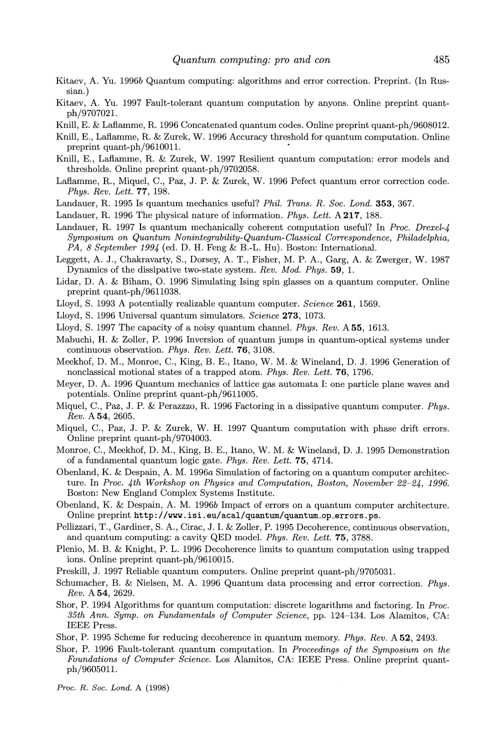- **Kitaev, A. Yu. 1996b Quantum computing: algorithms and error correction. Preprint. (In Russian.)**
- **Kitaev, A. Yu. 1997 Fault-tolerant quantum computation by anyons. Online preprint quantph/9707021.**
- **Knill, E. & Laflamme, R. 1996 Concatenated quantum codes. Online preprint quant-ph/9608012.**
- **Knill, E., Laflamme, R. & Zurek, W. 1996 Accuracy threshold for quantum computation. Online preprint quant-ph/9610011.**
- **Knill, E., Laflamme, R. & Zurek, W. 1997 Resilient quantum computation: error models and thresholds. Online preprint quant-ph/9702058.**
- **Laflamme, R., Miquel, C., Paz, J. P. & Zurek, W. 1996 Pefect quantum error correction code. Phys. Rev. Lett. 77, 198.**
- **Landauer, R. 1995 Is quantum mechanics useful? Phil. Trans. R. Soc. Lond. 353, 367.**
- **Landauer, R. 1996 The physical nature of information. Phys. Lett. A 217, 188.**
- **Landauer, R. 1997 Is quantum mechanically coherent computation useful? In Proc. Drexel-4 Symposium on Quantum Nonintegrability-Quantum-Classical Correspondence, Philadelphia, PA, 8 September 1994 (ed. D. H. Feng & B.-L. Hu). Boston: International.**
- **Leggett, A. J., Chakravarty, S., Dorsey, A. T., Fisher, M. P. A., Garg, A. & Zwerger, W. 1987 Dynamics of the dissipative two-state system. Rev. Mod. Phys. 59, 1.**
- **Lidar, D. A. & Biham, 0. 1996 Simulating Ising spin glasses on a quantum computer. Online preprint quant-ph/9611038.**
- **Lloyd, S. 1993 A potentially realizable quantum computer. Science 261, 1569.**
- **Lloyd, S. 1996 Universal quantum simulators. Science 273, 1073.**
- **Lloyd, S. 1997 The capacity of a noisy quantum channel. Phys. Rev. A 55, 1613.**
- **Mabuchi, H. & Zoller, P. 1996 Inversion of quantum jumps in quantum-optical systems under continuous observation. Phys. Rev. Lett. 76, 3108.**
- **Meekhof, D. M., Monroe, C., King, B. E., Itano, W. M. & Wineland, D. J. 1996 Generation of nonclassical motional states of a trapped atom. Phys. Rev. Lett. 76, 1796.**
- **Meyer, D. A. 1996 Quantum mechanics of lattice gas automata I: one particle plane waves and potentials. Online preprint quant-ph/9611005.**
- **Miquel, C., Paz, J. P. & Perazzzo, R. 1996 Factoring in a dissipative quantum computer. Phys. Rev. A 54, 2605.**
- **Miquel, C., Paz, J. P. & Zurek, W. H. 1997 Quantum computation with phase drift errors. Online preprint quant-ph/9704003.**
- **Monroe, C., Meekhof, D. M., King, B. E., Itano, W. M. & Wineland, D. J. 1995 Demonstration of a fundamental quantum logic gate. Phys. Rev. Lett. 75, 4714.**
- **Obenland, K. & Despain, A. M. 1996a Simulation of factoring on a quantum computer architecture. In Proc. 4th Workshop on Physics and Computation, Boston, November 22-24, 1996. Boston: New England Complex Systems Institute.**
- **Obenland, K. & Despain, A. M. 1996b Impact of errors on a quantum computer architecture. Online preprint http: //www. isi. eu/acal/quantum/quantum\_op\_errors. ps.**
- **Pellizzari, T., Gardiner, S. A., Cirac, J. I. & Zoller, P. 1995 Decoherence, continuous observation, and quantum computing: a cavity QED model. Phys. Rev. Lett. 75, 3788.**
- **Plenio, M. B. & Knight, P. L. 1996 Decoherence limits to quantum computation using trapped ions. Online preprint quant-ph/9610015.**
- **Preskill, J. 1997 Reliable quantum computers. Online preprint quant-ph/9705031.**
- **Schumacher, B. & Nielsen, M. A. 1996 Quantum data processing and error correction. Phys. Rev. A 54, 2629.**
- **Shor, P. 1994 Algorithms for quantum computation: discrete logarithms and factoring. In Proc. 35th Ann. Symp. on Fundamentals of Computer Science, pp. 124-134. Los Alamitos, CA: IEEE Press.**
- **Shor, P. 1995 Scheme for reducing decoherence in quantum memory. Phys. Rev. A 52, 2493.**
- **Shor, P. 1996 Fault-tolerant quantum computation. In Proceedings of the Symposium on the Foundations of Computer Science. Los Alamitos, CA: IEEE Press. Online preprint quantph/9605011.**